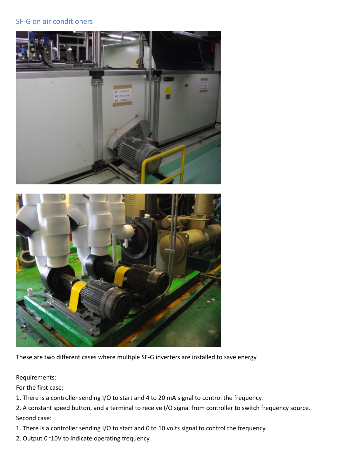## SF-G on air conditioners





These are two different cases where multiple SF-G inverters are installed to save energy.

### Requirements:

For the first case:

1. There is a controller sending I/O to start and 4 to 20 mA signal to control the frequency.

2. A constant speed button, and a terminal to receive I/O signal from controller to switch frequency source. Second case:

1. There is a controller sending I/O to start and 0 to 10 volts signal to control the frequency.

2. Output 0~10V to indicate operating frequency.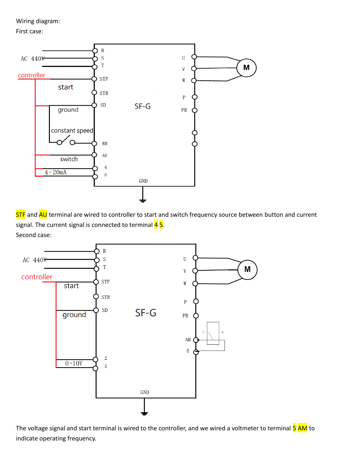Wiring diagram:

First case:



STF and AU terminal are wired to controller to start and switch frequency source between button and current signal. The current signal is connected to terminal  $45$ . Second case:



The voltage signal and start terminal is wired to the controller, and we wired a voltmeter to terminal 5 AM to indicate operating frequency.